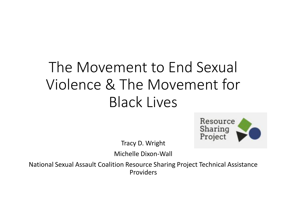# The Movement to End Sexual Violence & The Movement for Black Lives



Tracy D. Wright

Michelle Dixon-Wall

National Sexual Assault Coalition Resource Sharing Project Technical Assistance Providers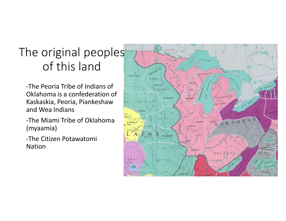# The original peoples of this land

-The Peoria Tribe of Indians of Oklahoma is a confederation of Kaskaskia, Peoria, Piankeshaw and Wea Indians

-The Miami Tribe of Oklahoma (myaamia)

-The Citizen Potawatomi Nation

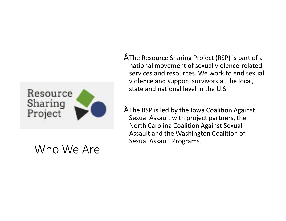

#### Who We Are

- The Resource Sharing Project (RSP) is part of a national movement of sexual violence-related services and resources. We work to end sexual violence and support survivors at the local, state and national level in the U.S.
- The RSP is led by the Iowa Coalition Against Sexual Assault with project partners, the North Carolina Coalition Against Sexual Assault and the Washington Coalition of Sexual Assault Programs.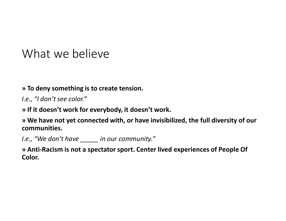#### What we believe

#### **» To deny something is to create tension.**

*I.e., "I don't see color."*

**» If it doesn't work for everybody, it doesn't work.**

**» We have not yet connected with, or have invisibilized, the full diversity of our communities.** 

*I.e., "We don't have \_\_\_\_\_ in our community."*

**» Anti-Racism is not a spectator sport. Center lived experiences of People Of Color.**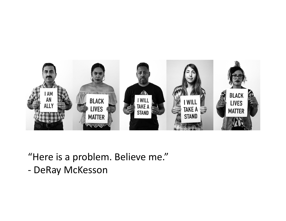

"Here is a problem. Believe me."

- DeRay McKesson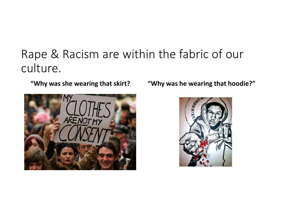# Rape & Racism are within the fabric of our culture.



**"Why was she wearing that skirt? "Why was he wearing that hoodie?"**

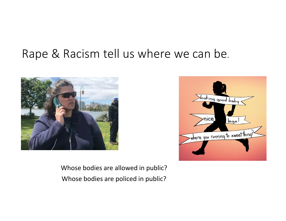### Rape & Racism tell us where we can be.





Whose bodies are allowed in public? Whose bodies are policed in public?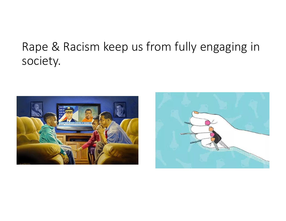# Rape & Racism keep us from fully engaging in society.



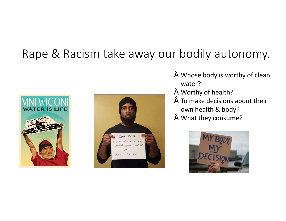#### Rape & Racism take away our bodily autonomy.





- Whose body is worthy of clean water?
- Worthy of health?
- $\tilde{ }$  To make decisions about their own health & body?
- What they consume?

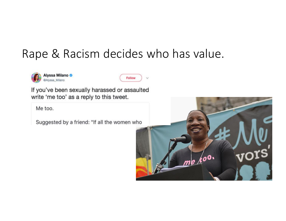#### Rape & Racism decides who has value.





If you've been sexually harassed or assaulted write 'me too' as a reply to this tweet.

Me too.

Suggested by a friend: "If all the women who

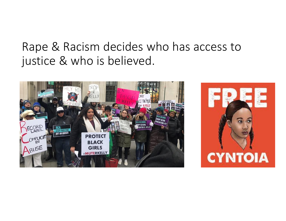#### Rape & Racism decides who has access to justice & who is believed.



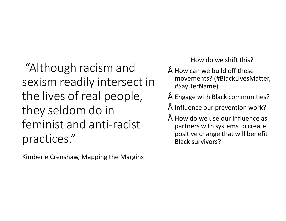"Although racism and sexism readily intersect in the lives of real people, they seldom do in feminist and anti-racist practices."

Kimberle Crenshaw, Mapping the Margins

How do we shift this?

- How can we build off these movements? (#BlackLivesMatter, #SayHerName)
- Engage with Black communities?
- Influence our prevention work?
- How do we use our influence as partners with systems to create positive change that will benefit Black survivors?